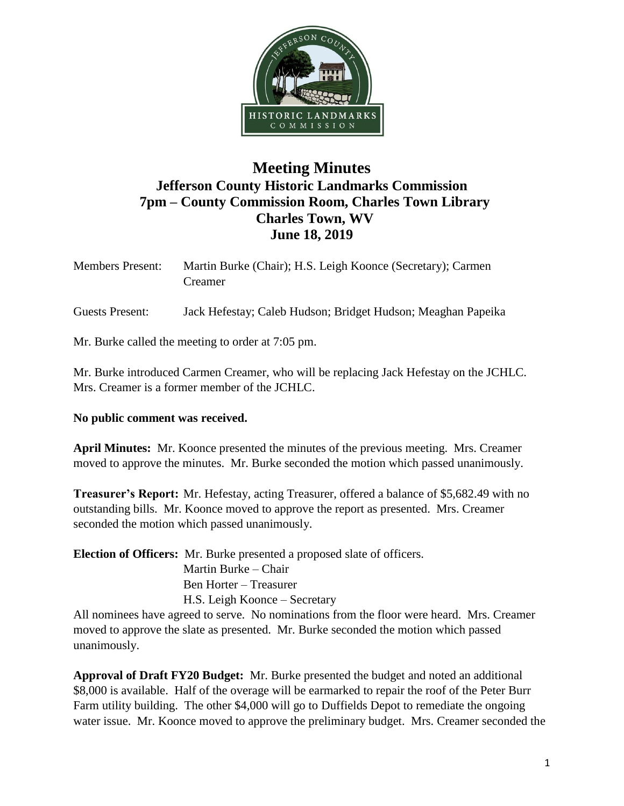

## **Meeting Minutes Jefferson County Historic Landmarks Commission 7pm – County Commission Room, Charles Town Library Charles Town, WV June 18, 2019**

| <b>Members Present:</b> | Martin Burke (Chair); H.S. Leigh Koonce (Secretary); Carmen<br>Creamer |
|-------------------------|------------------------------------------------------------------------|
| Guests Present:         | Jack Hefestay; Caleb Hudson; Bridget Hudson; Meaghan Papeika           |

Mr. Burke called the meeting to order at 7:05 pm.

Mr. Burke introduced Carmen Creamer, who will be replacing Jack Hefestay on the JCHLC. Mrs. Creamer is a former member of the JCHLC.

## **No public comment was received.**

**April Minutes:** Mr. Koonce presented the minutes of the previous meeting. Mrs. Creamer moved to approve the minutes. Mr. Burke seconded the motion which passed unanimously.

**Treasurer's Report:** Mr. Hefestay, acting Treasurer, offered a balance of \$5,682.49 with no outstanding bills. Mr. Koonce moved to approve the report as presented. Mrs. Creamer seconded the motion which passed unanimously.

**Election of Officers:** Mr. Burke presented a proposed slate of officers. Martin Burke – Chair Ben Horter – Treasurer H.S. Leigh Koonce – Secretary

All nominees have agreed to serve. No nominations from the floor were heard. Mrs. Creamer moved to approve the slate as presented. Mr. Burke seconded the motion which passed unanimously.

**Approval of Draft FY20 Budget:** Mr. Burke presented the budget and noted an additional \$8,000 is available. Half of the overage will be earmarked to repair the roof of the Peter Burr Farm utility building. The other \$4,000 will go to Duffields Depot to remediate the ongoing water issue. Mr. Koonce moved to approve the preliminary budget. Mrs. Creamer seconded the